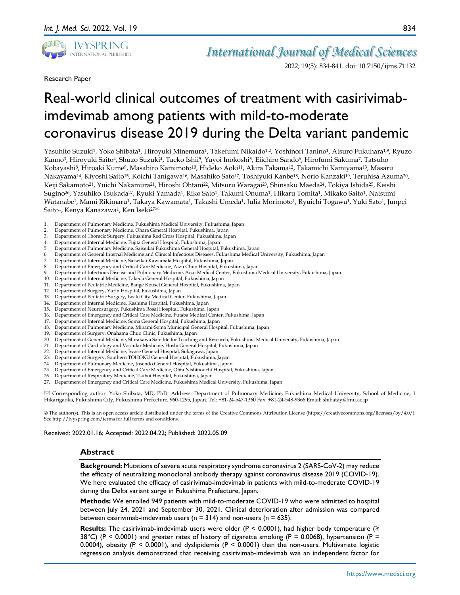

2022; 19(5): 834-841. doi: 10.7150/ijms.71132

Research Paper

# Real-world clinical outcomes of treatment with casirivimabimdevimab among patients with mild-to-moderate coronavirus disease 2019 during the Delta variant pandemic

Yasuhito Suzuki<sup>1</sup>, Yoko Shibata<sup>1</sup>, Hiroyuki Minemura<sup>1</sup>, Takefumi Nikaido<sup>1,2</sup>, Yoshinori Tanino<sup>1</sup>, Atsuro Fukuhara<sup>1,9</sup>, Ryuzo Kanno<sup>3</sup>, Hiroyuki Saito<sup>4</sup>, Shuzo Suzuki<sup>4</sup>, Taeko Ishii<sup>5</sup>, Yayoi Inokoshi<sup>5</sup>, Eiichiro Sando<sup>6</sup>, Hirofumi Sakuma<sup>7</sup>, Tatsuho Kobayashi8, Hiroaki Kume9, Masahiro Kamimoto10, Hideko Aoki11, Akira Takama12, Takamichi Kamiyama13, Masaru Nakayama14, Kiyoshi Saito15, Koichi Tanigawa16, Masahiko Sato17, Toshiyuki Kanbe18, Norio Kanzaki19, Teruhisa Azuma20, Keiji Sakamoto<sup>21</sup>, Yuichi Nakamura<sup>21</sup>, Hiroshi Ohtani<sup>22</sup>, Mitsuru Waragai<sup>23</sup>, Shinsaku Maeda<sup>24</sup>, Tokiya Ishida<sup>25</sup>, Keishi Sugino26, Yasuhiko Tsukada27, Ryuki Yamada1, Riko Sato1, Takumi Onuma1, Hikaru Tomita1, Mikako Saito1, Natsumi Watanabe<sup>1</sup>, Mami Rikimaru<sup>1</sup>, Takaya Kawamata<sup>1</sup>, Takashi Umeda<sup>1</sup>, Julia Morimoto<sup>1</sup>, Ryuichi Togawa<sup>1</sup>, Yuki Sato<sup>1</sup>, Junpei Saito<sup>1</sup>, Kenya Kanazawa<sup>1</sup>, Ken Iseki<sup>27⊠</sup>

- 1. Department of Pulmonary Medicine, Fukushima Medical University, Fukushima, Japan
- 2. Department of Pulmonary Medicine, Ohara General Hospital, Fukushima, Japan
- 3. Department of Thoracic Surgery, Fukushima Red Cross Hospital, Fukushima, Japan
- 4. Department of Internal Medicine, Fujita General Hospital, Fukushima, Japan
- 5. Department of Pulmonary Medicine, Saiseikai Fukushima General Hospital, Fukushima, Japan
- 6. Department of General Internal Medicine and Clinical Infectious Diseases, Fukushima Medical University, Fukushima, Japan
- 7. Department of Internal Medicine, Saiseikai Kawamata Hospital, Fukushima, Japan
- 8. Department of Emergency and Critical Care Medicine, Aizu Chuo Hospital, Fukushima, Japan<br>9. Department of Infectious Disease and Pulmonary Medicine. Aizu Medical Center. Fukushima
- 9. Department of Infectious Disease and Pulmonary Medicine, Aizu Medical Center, Fukushima Medical University, Fukushima, Japan<br>10. Department of Internal Medicine, Takeda General Hospital, Fukushima, Japan
- 10. Department of Internal Medicine, Takeda General Hospital, Fukushima, Japan
- 11. Department of Pediatric Medicine, Bange Kousei General Hospital, Fukushima, Japan
- 12. Department of Surgery, Yurin Hospital, Fukushima, Japan
- 13. Department of Pediatric Surgery, Iwaki City Medical Center, Fukushima, Japan
- 14. Department of Internal Medicine, Kashima Hospital, Fukushima, Japan
- 15. Department of Neurosurgery, Fukushima Rosai Hospital, Fukushima, Japan
- 16. Department of Emergency and Critical Care Medicine, Futaba Medical Center, Fukushima, Japan
- 17. Department of Internal Medicine, Soma General Hospital, Fukushima, Japan 18. Department of Pulmonary Medicine, Minami-Soma Municipal General Hospital, Fukushima, Japan
- 19. Department of Surgery, Onahama Chuo Clinic, Fukushima, Japan
- 20. Department of General Medicine, Shirakawa Satellite for Teaching and Research, Fukushima Medical University, Fukushima, Japan
- 21. Department of Cardiology and Vascular Medicine, Hoshi General Hospital, Fukushima, Japan
- 22. Department of Internal Medicine, Iwase General Hospital, Sukagawa, Japan<br>23. Department of Surgery, Southern TOHOKU General Hospital, Fukushima, J
- Department of Surgery, Southern TOHOKU General Hospital, Fukushima, Japan
- 24. Department of Pulmonary Medicine, Jusendo General Hospital, Fukushima, Japan
- 25. Department of Emergency and Critical Care Medicine, Ohta Nishinouchi Hospital, Fukushima, Japan
- 26. Department of Respiratory Medicine, Tsuboi Hospital, Fukushima, Japan<br>27 Department of Emergency and Critical Care Medicine, Fukushima Medic
- 27. Department of Emergency and Critical Care Medicine, Fukushima Medical University, Fukushima, Japan

 Corresponding author: Yoko Shibata, MD, PhD. Address: Department of Pulmonary Medicine, Fukushima Medical University, School of Medicine, 1 Hikarigaoka, Fukushima City, Fukushima Prefecture, 960-1295, Japan. Tel: +81-24-547-1360 Fax: +81-24-548-9366 Email: shibatay@fmu.ac.jp

© The author(s). This is an open access article distributed under the terms of the Creative Commons Attribution License (https://creativecommons.org/licenses/by/4.0/). See http://ivyspring.com/terms for full terms and conditions.

#### Received: 2022.01.16; Accepted: 2022.04.22; Published: 2022.05.09

#### **Abstract**

**Background:** Mutations of severe acute respiratory syndrome coronavirus 2 (SARS-CoV-2) may reduce the efficacy of neutralizing monoclonal antibody therapy against coronavirus disease 2019 (COVID-19). We here evaluated the efficacy of casirivimab-imdevimab in patients with mild-to-moderate COVID-19 during the Delta variant surge in Fukushima Prefecture, Japan.

**Methods:** We enrolled 949 patients with mild-to-moderate COVID-19 who were admitted to hospital between July 24, 2021 and September 30, 2021. Clinical deterioration after admission was compared between casirivimab-imdevimab users ( $n = 314$ ) and non-users ( $n = 635$ ).

**Results:** The casirivimab-imdevimab users were older ( $P \le 0.0001$ ), had higher body temperature ( $\ge$ 38°C) (P < 0.0001) and greater rates of history of cigarette smoking (P = 0.0068), hypertension (P = 0.0004), obesity (P < 0.0001), and dyslipidemia (P < 0.0001) than the non-users. Multivariate logistic regression analysis demonstrated that receiving casirivimab-imdevimab was an independent factor for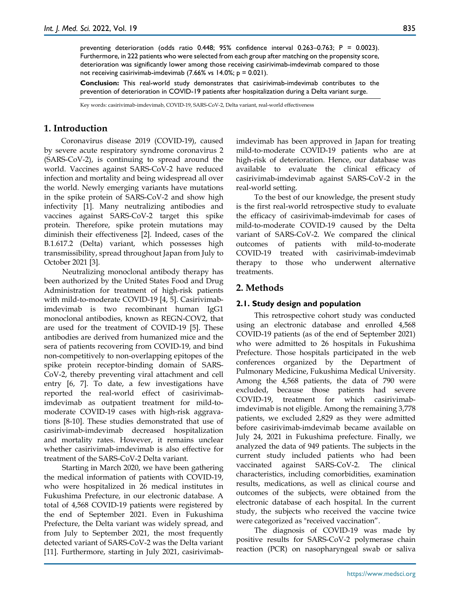preventing deterioration (odds ratio 0.448; 95% confidence interval 0.263–0.763; P = 0.0023). Furthermore, in 222 patients who were selected from each group after matching on the propensity score, deterioration was significantly lower among those receiving casirivimab-imdevimab compared to those not receiving casirivimab-imdevimab  $(7.66\% \text{ vs } 14.0\%; p = 0.021)$ .

**Conclusion:** This real-world study demonstrates that casirivimab-imdevimab contributes to the prevention of deterioration in COVID-19 patients after hospitalization during a Delta variant surge.

Key words: casirivimab-imdevimab, COVID-19, SARS-CoV-2, Delta variant, real-world effectiveness

## **1. Introduction**

Coronavirus disease 2019 (COVID-19), caused by severe acute respiratory syndrome coronavirus 2 (SARS-CoV-2), is continuing to spread around the world. Vaccines against SARS-CoV-2 have reduced infection and mortality and being widespread all over the world. Newly emerging variants have mutations in the spike protein of SARS-CoV-2 and show high infectivity [1]. Many neutralizing antibodies and vaccines against SARS-CoV-2 target this spike protein. Therefore, spike protein mutations may diminish their effectiveness [2]. Indeed, cases of the B.1.617.2 (Delta) variant, which possesses high transmissibility, spread throughout Japan from July to October 2021 [3].

Neutralizing monoclonal antibody therapy has been authorized by the United States Food and Drug Administration for treatment of high-risk patients with mild-to-moderate COVID-19 [4, 5]. Casirivimabimdevimab is two recombinant human IgG1 monoclonal antibodies, known as REGN-COV2, that are used for the treatment of COVID-19 [5]. These antibodies are derived from humanized mice and the sera of patients recovering from COVID-19, and bind non-competitively to non-overlapping epitopes of the spike protein receptor-binding domain of SARS-CoV-2, thereby preventing viral attachment and cell entry [6, 7]. To date, a few investigations have reported the real-world effect of casirivimabimdevimab as outpatient treatment for mild-tomoderate COVID-19 cases with high-risk aggravations [8-10]. These studies demonstrated that use of casirivimab-imdevimab decreased hospitalization and mortality rates. However, it remains unclear whether casirivimab-imdevimab is also effective for treatment of the SARS-CoV-2 Delta variant.

Starting in March 2020, we have been gathering the medical information of patients with COVID-19, who were hospitalized in 26 medical institutes in Fukushima Prefecture, in our electronic database. A total of 4,568 COVID-19 patients were registered by the end of September 2021. Even in Fukushima Prefecture, the Delta variant was widely spread, and from July to September 2021, the most frequently detected variant of SARS-CoV-2 was the Delta variant [11]. Furthermore, starting in July 2021, casirivimabimdevimab has been approved in Japan for treating mild-to-moderate COVID-19 patients who are at high-risk of deterioration. Hence, our database was available to evaluate the clinical efficacy of casirivimab-imdevimab against SARS-CoV-2 in the real-world setting.

To the best of our knowledge, the present study is the first real-world retrospective study to evaluate the efficacy of casirivimab-imdevimab for cases of mild-to-moderate COVID-19 caused by the Delta variant of SARS-CoV-2. We compared the clinical outcomes of patients with mild-to-moderate COVID-19 treated with casirivimab-imdevimab therapy to those who underwent alternative treatments.

# **2. Methods**

## **2.1. Study design and population**

This retrospective cohort study was conducted using an electronic database and enrolled 4,568 COVID-19 patients (as of the end of September 2021) who were admitted to 26 hospitals in Fukushima Prefecture. Those hospitals participated in the web conferences organized by the Department of Pulmonary Medicine, Fukushima Medical University. Among the 4,568 patients, the data of 790 were excluded, because those patients had severe COVID-19, treatment for which casirivimabimdevimab is not eligible. Among the remaining 3,778 patients, we excluded 2,829 as they were admitted before casirivimab-imdevimab became available on July 24, 2021 in Fukushima prefecture. Finally, we analyzed the data of 949 patients. The subjects in the current study included patients who had been vaccinated against SARS-CoV-2. The clinical characteristics, including comorbidities, examination results, medications, as well as clinical course and outcomes of the subjects, were obtained from the electronic database of each hospital. In the current study, the subjects who received the vaccine twice were categorized as "received vaccination".

The diagnosis of COVID-19 was made by positive results for SARS-CoV-2 polymerase chain reaction (PCR) on nasopharyngeal swab or saliva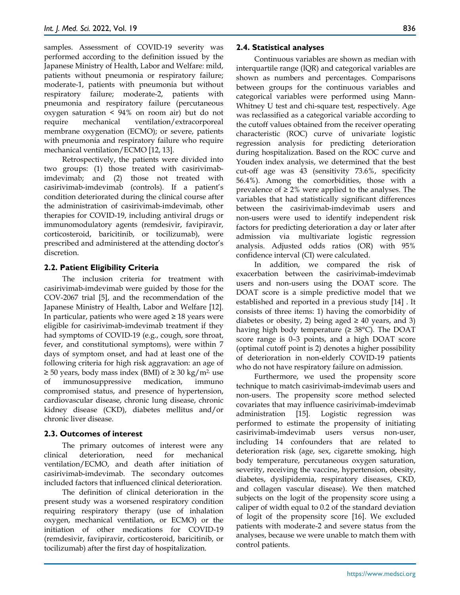samples. Assessment of COVID-19 severity was performed according to the definition issued by the Japanese Ministry of Health, Labor and Welfare: mild, patients without pneumonia or respiratory failure; moderate-1, patients with pneumonia but without respiratory failure; moderate-2, patients with pneumonia and respiratory failure (percutaneous oxygen saturation < 94% on room air) but do not require mechanical ventilation/extracorporeal membrane oxygenation (ECMO); or severe, patients with pneumonia and respiratory failure who require mechanical ventilation/ECMO [12, 13].

Retrospectively, the patients were divided into two groups: (1) those treated with casirivimabimdevimab; and (2) those not treated with casirivimab-imdevimab (controls). If a patient's condition deteriorated during the clinical course after the administration of casirivimab-imdevimab, other therapies for COVID-19, including antiviral drugs or immunomodulatory agents (remdesivir, favipiravir, corticosteroid, baricitinib, or tocilizumab), were prescribed and administered at the attending doctor's discretion.

#### **2.2. Patient Eligibility Criteria**

The inclusion criteria for treatment with casirivimab-imdevimab were guided by those for the COV-2067 trial [5], and the recommendation of the Japanese Ministry of Health, Labor and Welfare [12]. In particular, patients who were aged  $\geq 18$  years were eligible for casirivimab-imdevimab treatment if they had symptoms of COVID-19 (e.g., cough, sore throat, fever, and constitutional symptoms), were within 7 days of symptom onset, and had at least one of the following criteria for high risk aggravation: an age of  $\geq$  50 years, body mass index (BMI) of  $\geq$  30 kg/m<sup>2</sup>, use of immunosuppressive medication, immuno compromised status, and presence of hypertension, cardiovascular disease, chronic lung disease, chronic kidney disease (CKD), diabetes mellitus and/or chronic liver disease.

#### **2.3. Outcomes of interest**

The primary outcomes of interest were any clinical deterioration, need for mechanical ventilation/ECMO, and death after initiation of casirivimab-imdevimab. The secondary outcomes included factors that influenced clinical deterioration.

The definition of clinical deterioration in the present study was a worsened respiratory condition requiring respiratory therapy (use of inhalation oxygen, mechanical ventilation, or ECMO) or the initiation of other medications for COVID-19 (remdesivir, favipiravir, corticosteroid, baricitinib, or tocilizumab) after the first day of hospitalization.

#### **2.4. Statistical analyses**

Continuous variables are shown as median with interquartile range (IQR) and categorical variables are shown as numbers and percentages. Comparisons between groups for the continuous variables and categorical variables were performed using Mann-Whitney U test and chi-square test, respectively. Age was reclassified as a categorical variable according to the cutoff values obtained from the receiver operating characteristic (ROC) curve of univariate logistic regression analysis for predicting deterioration during hospitalization. Based on the ROC curve and Youden index analysis, we determined that the best cut-off age was 43 (sensitivity 73.6%, specificity 56.4%). Among the comorbidities, those with a prevalence of  $\geq 2\%$  were applied to the analyses. The variables that had statistically significant differences between the casirivimab-imdevimab users and non-users were used to identify independent risk factors for predicting deterioration a day or later after admission via multivariate logistic regression analysis. Adjusted odds ratios (OR) with 95% confidence interval (CI) were calculated.

In addition, we compared the risk of exacerbation between the casirivimab-imdevimab users and non-users using the DOAT score. The DOAT score is a simple predictive model that we established and reported in a previous study [14] . It consists of three items: 1) having the comorbidity of diabetes or obesity, 2) being aged  $\geq$  40 years, and 3) having high body temperature  $(\geq 38^{\circ}C)$ . The DOAT score range is 0–3 points, and a high DOAT score (optimal cutoff point is 2) denotes a higher possibility of deterioration in non-elderly COVID-19 patients who do not have respiratory failure on admission.

Furthermore, we used the propensity score technique to match casirivimab-imdevimab users and non-users. The propensity score method selected covariates that may influence casirivimab-imdevimab administration [15]. Logistic regression was performed to estimate the propensity of initiating casirivimab-imdevimab users versus non-user, including 14 confounders that are related to deterioration risk (age, sex, cigarette smoking, high body temperature, percutaneous oxygen saturation, severity, receiving the vaccine, hypertension, obesity, diabetes, dyslipidemia, respiratory diseases, CKD, and collagen vascular disease). We then matched subjects on the logit of the propensity score using a caliper of width equal to 0.2 of the standard deviation of logit of the propensity score [16]. We excluded patients with moderate-2 and severe status from the analyses, because we were unable to match them with control patients.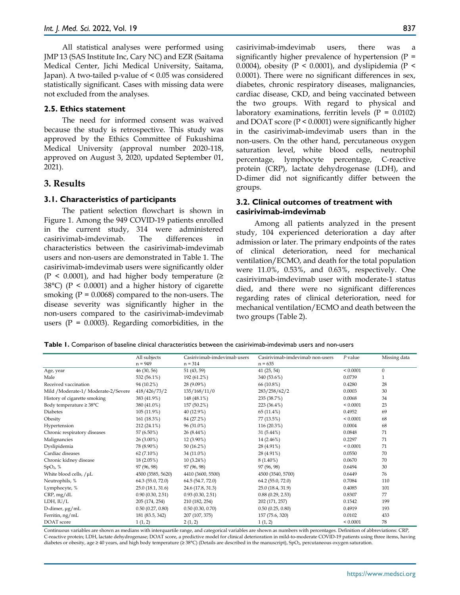All statistical analyses were performed using JMP 13 (SAS Institute Inc, Cary NC) and EZR (Saitama Medical Center, Jichi Medical University, Saitama, Japan). A two-tailed p-value of < 0.05 was considered statistically significant. Cases with missing data were not excluded from the analyses.

#### **2.5. Ethics statement**

The need for informed consent was waived because the study is retrospective. This study was approved by the Ethics Committee of Fukushima Medical University (approval number 2020-118, approved on August 3, 2020, updated September 01, 2021).

## **3. Results**

#### **3.1. Characteristics of participants**

The patient selection flowchart is shown in Figure 1. Among the 949 COVID-19 patients enrolled in the current study, 314 were administered casirivimab-imdevimab. The differences in characteristics between the casirivimab-imdevimab users and non-users are demonstrated in Table 1. The casirivimab-imdevimab users were significantly older  $(P < 0.0001)$ , and had higher body temperature (≥ 38°C) (P < 0.0001) and a higher history of cigarette smoking  $(P = 0.0068)$  compared to the non-users. The disease severity was significantly higher in the non-users compared to the casirivimab-imdevimab users  $(P = 0.0003)$ . Regarding comorbidities, in the

casirivimab-imdevimab users, there was a significantly higher prevalence of hypertension  $(P =$ 0.0004), obesity ( $P < 0.0001$ ), and dyslipidemia ( $P <$ 0.0001). There were no significant differences in sex, diabetes, chronic respiratory diseases, malignancies, cardiac disease, CKD, and being vaccinated between the two groups. With regard to physical and laboratory examinations, ferritin levels  $(P = 0.0102)$ and DOAT score (P < 0.0001) were significantly higher in the casirivimab-imdevimab users than in the non-users. On the other hand, percutaneous oxygen saturation level, white blood cells, neutrophil percentage, lymphocyte percentage, C-reactive protein (CRP), lactate dehydrogenase (LDH), and D-dimer did not significantly differ between the groups.

#### **3.2. Clinical outcomes of treatment with casirivimab-imdevimab**

Among all patients analyzed in the present study, 104 experienced deterioration a day after admission or later. The primary endpoints of the rates of clinical deterioration, need for mechanical ventilation/ECMO, and death for the total population were 11.0%, 0.53%, and 0.63%, respectively. One casirivimab-imdevimab user with moderate-1 status died, and there were no significant differences regarding rates of clinical deterioration, need for mechanical ventilation/ECMO and death between the two groups (Table 2).

**Table 1.** Comparison of baseline clinical characteristics between the casirivimab-imdevimab users and non-users

|                                      | All subjects      | Casirivimab-imdevimab users | Casirivimab-imdevimab non-users | $P$ value     | Missing data |
|--------------------------------------|-------------------|-----------------------------|---------------------------------|---------------|--------------|
|                                      | $n = 949$         | $n = 314$                   | $n = 635$                       |               |              |
| Age, year                            | 46 (30, 56)       | 51 (43, 59)                 | 41(25, 54)                      | < 0.0001      | $\mathbf{0}$ |
| Male                                 | 532 (56.1%)       | 192 (61.2%)                 | 340 (53.6%)                     | 0.0739        | $\mathbf{1}$ |
| Received vaccination                 | 94 (10.2%)        | 28 (9.09%)                  | 66 (10.8%)                      | 0.4280        | 28           |
| Mild / Moderate-1/ Moderate-2/Severe | 418/426/73/2      | 135/168/11/0                | 283/258/62/2                    | 0.0003        | 30           |
| History of cigarette smoking         | 383 (41.9%)       | 148 (48.1%)                 | 235 (38.7%)                     | 0.0068        | 34           |
| Body temperature $\geq 38^{\circ}$ C | 380 (41.0%)       | 157 (50.2%)                 | 223 (36.4%)                     | ${}< 0.0001$  | 23           |
| Diabetes                             | 105 (11.9%)       | 40 (12.9%)                  | 65(11.4%)                       | 0.4952        | 69           |
| Obesity                              | 161 (18.3%)       | 84 (27.2%)                  | 77 (13.5%)                      | ${}_{0.0001}$ | 68           |
| Hypertension                         | 212 (24.1%)       | 96 (31.0%)                  | 116 (20.3%)                     | 0.0004        | 68           |
| Chronic respiratory diseases         | 57 (6.50%)        | $26(8.44\%)$                | 31 (5.44%)                      | 0.0848        | 71           |
| Malignancies                         | 26 (3.00%)        | 12 (3.90%)                  | 14 (2.46%)                      | 0.2297        | 71           |
| Dyslipidemia                         | 78 (8.90%)        | 50(16.2%)                   | 28 (4.91%)                      | ${}< 0.0001$  | 71           |
| Cardiac diseases                     | 62 (7.10%)        | 34 (11.0%)                  | 28 (4.91%)                      | 0.0550        | 70           |
| Chronic kidney disease               | 18 (2.05%)        | $10(3.24\%)$                | $8(1.40\%)$                     | 0.0670        | 70           |
| SpO <sub>2</sub> , %                 | 97 (96, 98)       | 97 (96, 98)                 | 97 (96, 98)                     | 0.6494        | 30           |
| White blood cells, /µL               | 4500 (3585, 5620) | 4410 (3600, 5500)           | 4500 (3540, 5700)               | 0.6449        | 76           |
| Neutrophils, %                       | 64.3 (55.0, 72.0) | 64.5 (54.7, 72.0)           | 64.2 (55.0, 72.0)               | 0.7084        | 110          |
| Lymphocyte, %                        | 25.0 (18.1, 31.6) | 24.6 (17.8, 31.3)           | 25.0 (18.4, 31.9)               | 0.4085        | 101          |
| CRP, mg/dL                           | 0.90(0.30, 2.51)  | 0.93(0.30, 2.51)            | 0.88(0.29, 2.53)                | 0.8307        | 77           |
| LDH, IU/L                            | 205 (174, 254)    | 210 (182, 254)              | 202 (171, 257)                  | 0.1542        | 199          |
| D-dimer, $\mu$ g/mL                  | 0.50(0.27, 0.80)  | 0.50(0.30, 0.70)            | 0.50(0.25, 0.80)                | 0.4919        | 193          |
| Ferritin, ng/mL                      | 181 (83.5, 342)   | 207 (107, 375)              | 157 (75.6, 320)                 | 0.0102        | 433          |
| DOAT score                           | 1(1, 2)           | 2(1, 2)                     | 1(1, 2)                         | ${}< 0.0001$  | 78           |

Continuous variables are shown as medians with interquartile range, and categorical variables are shown as numbers with percentages. Definition of abbreviations: CRP, C-reactive protein; LDH, lactate dehydrogenase; DOAT score, a predictive model for clinical deterioration in mild-to-moderate COVID-19 patients using three items, having diabetes or obesity, age ≥ 40 years, and high body temperature (≥ 38°C) (Details are described in the manuscript), SpO<sub>2</sub>, percutaneous oxygen saturation.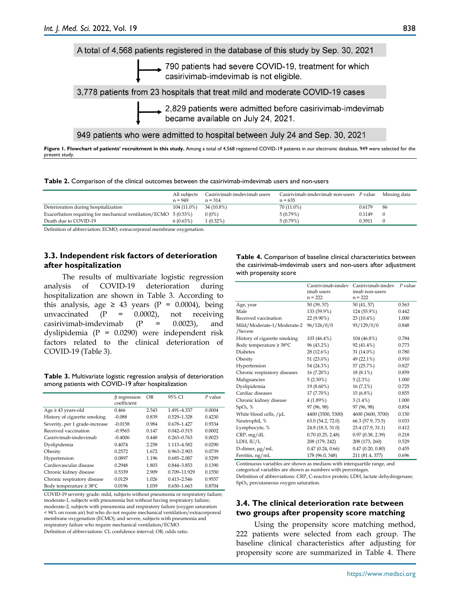

Figure 1. Flowchart of patients' recruitment in this study. Among a total of 4,568 registered COVID-19 patients in our electronic database, 949 were selected for the present study.

|  |  |  |  | <b>Table 2.</b> Comparison of the clinical outcomes between the casirivimab-imdevimab users and non-users |  |
|--|--|--|--|-----------------------------------------------------------------------------------------------------------|--|
|--|--|--|--|-----------------------------------------------------------------------------------------------------------|--|

|                                                                  | All subjects<br>$n = 949$ | Casirivimab-imdevimab users<br>$n = 314$ | Casirivimab-imdevimab non-users P value<br>$n = 635$ |        | Missing data |
|------------------------------------------------------------------|---------------------------|------------------------------------------|------------------------------------------------------|--------|--------------|
| Deterioration during hospitalization                             | $104(11.0\%)$             | 34 (10.8%)                               | 70 (11.0%)                                           | 0.6179 | -86          |
| Exacerbation requiring for mechanical ventilation/ECMO 5 (0.53%) |                           | $0(0\%)$                                 | 5(0.79%)                                             | 0.1149 |              |
| Death due to COVID-19                                            | 6(0.63%)                  | 1 (0.32%)                                | 5(0.79%)                                             | 0.3911 |              |

Definition of abbreviation: ECMO, extracorporeal membrane oxygenation.

#### **3.3. Independent risk factors of deterioration after hospitalization**

The results of multivariate logistic regression analysis of COVID-19 deterioration during hospitalization are shown in Table 3. According to this analysis, age  $\geq 43$  years (P = 0.0004), being unvaccinated  $(P = 0.0002)$ , not receiving casirivimab-imdevimab  $(P = 0.0023)$ , and dyslipidemia (P = 0.0290) were independent risk factors related to the clinical deterioration of COVID-19 (Table 3).

**Table 3.** Multivariate logistic regression analysis of deterioration among patients with COVID-19 after hospitalization

|                                     | $\beta$ regression<br>coefficient | OR    | 95% CI          | $P$ value |
|-------------------------------------|-----------------------------------|-------|-----------------|-----------|
| $Age \geq 43$ years-old             | 0.466                             | 2.543 | 1.491-4.337     | 0.0004    |
| History of cigarette smoking        | $-0.088$                          | 0.839 | 0.529-1.328     | 0.4230    |
| Severity, per 1 grade-increase      | $-0.0158$                         | 0.984 | 0.678-1.427     | 0.9334    |
| Received vaccination                | $-0.9565$                         | 0.147 | $0.042 - 0.515$ | 0.0002    |
| Casirivimab-imdevimab               | $-0.4006$                         | 0.448 | $0.263 - 0.763$ | 0.0023    |
| Dyslipidemia                        | 0.4074                            | 2.258 | 1.113-4.582     | 0.0290    |
| Obesity                             | 0.2572                            | 1.672 | $0.963 - 2.903$ | 0.0739    |
| Hypertension                        | 0.0897                            | 1.196 | 0.685-2.087     | 0.5299    |
| Cardiovascular disease              | 0.2948                            | 1.803 | 0.844-3.853     | 0.1390    |
| Chronic kidney disease              | 0.5339                            | 2.909 | 0.709-11.929    | 0.1550    |
| Chronic respiratory disease         | 0.0129                            | 1.026 | $0.413 - 2.546$ | 0.9557    |
| Body temperature $\geq 38^{\circ}C$ | 0.0196                            | 1.039 | $0.650 - 1.663$ | 0.8704    |

COVID-19 severity grade: mild, subjects without pneumonia or respiratory failure; moderate-1, subjects with pneumonia but without having respiratory failure; moderate-2, subjects with pneumonia and respiratory failure (oxygen saturation < 94% on room air) but who do not require mechanical ventilation/extracorporeal membrane oxygenation (ECMO); and severe, subjects with pneumonia and respiratory failure who require mechanical ventilation/ECMO. Definition of abbreviations: CI, confidence interval; OR, odds ratio.

**Table 4.** Comparison of baseline clinical characteristics between the casirivimab-imdevimab users and non-users after adjustment with propensity score

|                                       | Casirivimab-imdev<br>imab users | Casirivimab-imdev<br>imab non-users | $P$ value |
|---------------------------------------|---------------------------------|-------------------------------------|-----------|
|                                       | $n = 222$                       | $n = 222$                           |           |
| Age, year                             | 50 (39, 57)                     | 50 (41, 57)                         | 0.563     |
| Male                                  | 133 (59.9%)                     | 124 (55.9%)                         | 0.442     |
| Received vaccination                  | 22 (9.90%)                      | 23 (10.4%)                          | 1.000     |
| Mild/Moderate-1/Moderate-2<br>/Severe | 96/126/0/0                      | 93/129/0/0                          | 0.848     |
| History of cigarette smoking          | 103 (46.4%)                     | 104 (46.8%)                         | 0.784     |
| Body temperature $\geq 38^{\circ}$ C  | 96 (43.2%)                      | 92 (41.4%)                          | 0.773     |
| <b>Diabetes</b>                       | 28 (12.6%)                      | 31 (14.0%)                          | 0.780     |
| Obesity                               | 51 (23.0%)                      | 49 (22.1%)                          | 0.910     |
| Hypertension                          | 54 (24.3%)                      | 57 (25.7%)                          | 0.827     |
| Chronic respiratory diseases          | 16 (7.20%)                      | 18 (8.1%)                           | 0.859     |
| Malignancies                          | $5(2.30\%)$                     | 5(2.3%)                             | 1.000     |
| Dyslipidemia                          | $19(8.60\%)$                    | 16(7.2%)                            | 0.725     |
| Cardiac diseases                      | 17 (7.70%)                      | 15 (6.8%)                           | 0.855     |
| Chronic kidney disease                | 4(1.89%)                        | $3(1.4\%)$                          | 1.000     |
| SpO <sub>2</sub> , %                  | 97 (96, 98)                     | 97 (96, 98)                         | 0.854     |
| White blood cells, /µL                | 4400 (3500, 5300)               | 4600 (3600, 5700)                   | 0.150     |
| Neutrophil, %                         | 63.0 (54.2, 72.0)               | 66.3 (57.9, 73.5)                   | 0.033     |
| Lymphocyte, %                         | 24.8 (18.3, 31.0)               | 23.4 (17.9, 31.1)                   | 0.412     |
| CRP, mg/dL                            | $0.70$ $(0.25, 2.48)$           | 0.97(0.38, 2.39)                    | 0.218     |
| LDH, IU/L                             | 208 (179, 242)                  | 208 (173, 260)                      | 0.529     |
| D-dimer, µg/mL                        | 0.47(0.24, 0.66)                | 0.47(0.20, 0.80)                    | 0.455     |
| Ferritin, ng/mL                       | 178 (96.0, 348)                 | 211 (81.4, 377)                     | 0.696     |
|                                       |                                 |                                     |           |

Continuous variables are shown as medians with interquartile range, and

categorical variables are shown as numbers with percentages.

Definition of abbreviations: CRP, C-reactive protein; LDH, lactate dehydrogenase; SpO2, percutaneous oxygen saturation.

#### **3.4. The clinical deterioration rate between two groups after propensity score matching**

Using the propensity score matching method, 222 patients were selected from each group. The baseline clinical characteristics after adjusting for propensity score are summarized in Table 4. There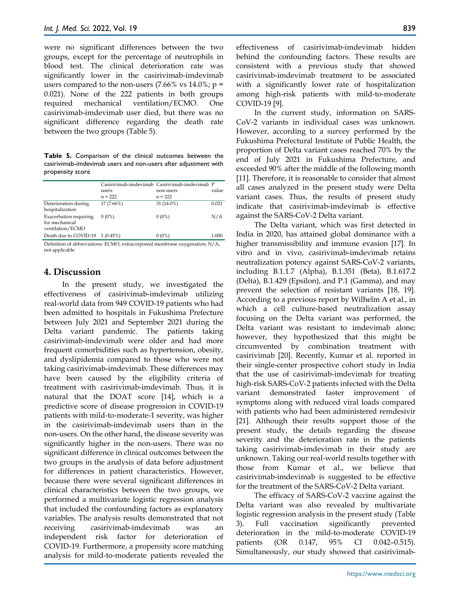were no significant differences between the two groups, except for the percentage of neutrophils in blood test. The clinical deterioration rate was significantly lower in the casirivimab-imdevimab users compared to the non-users  $(7.66\% \text{ vs } 14.0\%; \text{ p} =$ 0.021). None of the 222 patients in both groups required mechanical ventilation/ECMO. One casirivimab-imdevimab user died, but there was no significant difference regarding the death rate between the two groups (Table 5).

**Table 5.** Comparison of the clinical outcomes between the casirivimab-imdevimab users and non-users after adjustment with propensity score

|                                                              |             | Casirivimab-imdevimab Casirivimab-imdevimab P |       |
|--------------------------------------------------------------|-------------|-----------------------------------------------|-------|
|                                                              | users       | non-users                                     | value |
|                                                              | $n = 222$   | $n = 222$                                     |       |
| Deterioration during<br>hospitalization                      | 17 (7.66%)  | 31 (14.0%)                                    | 0.021 |
| Exacerbation requiring<br>for mechanical<br>ventilation/ECMO | $0(0\%)$    | $0(0\%)$                                      | N/A   |
| Death due to COVID-19                                        | $1(0.45\%)$ | $0(0\%)$                                      | 1.000 |

Definition of abbreviations: ECMO, extracorporeal membrane oxygenation; N/A, not applicable

## **4. Discussion**

In the present study, we investigated the effectiveness of casirivimab-imdevimab utilizing real-world data from 949 COVID-19 patients who had been admitted to hospitals in Fukushima Prefecture between July 2021 and September 2021 during the Delta variant pandemic. The patients taking casirivimab-imdevimab were older and had more frequent comorbidities such as hypertension, obesity, and dyslipidemia compared to those who were not taking casirivimab-imdevimab. These differences may have been caused by the eligibility criteria of treatment with casirivimab-imdevimab. Thus, it is natural that the DOAT score [14], which is a predictive score of disease progression in COVID-19 patients with mild-to-moderate-1 severity, was higher in the casirivimab-imdevimab users than in the non-users. On the other hand, the disease severity was significantly higher in the non-users. There was no significant difference in clinical outcomes between the two groups in the analysis of data before adjustment for differences in patient characteristics. However, because there were several significant differences in clinical characteristics between the two groups, we performed a multivariate logistic regression analysis that included the confounding factors as explanatory variables. The analysis results demonstrated that not receiving casirivimab-imdevimab was an independent risk factor for deterioration of COVID-19. Furthermore, a propensity score matching analysis for mild-to-moderate patients revealed the

effectiveness of casirivimab-imdevimab hidden behind the confounding factors. These results are consistent with a previous study that showed casirivimab-imdevimab treatment to be associated with a significantly lower rate of hospitalization among high-risk patients with mild-to-moderate COVID-19 [9].

In the current study, information on SARS-CoV-2 variants in individual cases was unknown. However, according to a survey performed by the Fukushima Prefectural Institute of Public Health, the proportion of Delta variant cases reached 70% by the end of July 2021 in Fukushima Prefecture, and exceeded 90% after the middle of the following month [11]. Therefore, it is reasonable to consider that almost all cases analyzed in the present study were Delta variant cases. Thus, the results of present study indicate that casirivimab-imdevimab is effective against the SARS-CoV-2 Delta variant.

The Delta variant, which was first detected in India in 2020, has attained global dominance with a higher transmissibility and immune evasion [17]. In vitro and in vivo, casirivimab-imdevimab retains neutralization potency against SARS-CoV-2 variants, including B.1.1.7 (Alpha), B.1.351 (Beta), B.1.617.2 (Delta), B.1.429 (Epsilon), and P.1 (Gamma), and may prevent the selection of resistant variants [18, 19]. According to a previous report by Wilhelm A et al., in which a cell culture-based neutralization assay focusing on the Delta variant was performed, the Delta variant was resistant to imdevimab alone; however, they hypothesized that this might be circumvented by combination treatment with casirivimab [20]. Recently, Kumar et al. reported in their single-center prospective cohort study in India that the use of casirivimab-imdevimab for treating high-risk SARS-CoV-2 patients infected with the Delta variant demonstrated faster improvement of symptoms along with reduced viral loads compared with patients who had been administered remdesivir [21]. Although their results support those of the present study, the details regarding the disease severity and the deterioration rate in the patients taking casirivimab-imdevimab in their study are unknown. Taking our real-world results together with those from Kumar et al., we believe that casirivimab-imdevimab is suggested to be effective for the treatment of the SARS-CoV-2 Delta variant.

The efficacy of SARS-CoV-2 vaccine against the Delta variant was also revealed by multivariate logistic regression analysis in the present study (Table 3). Full vaccination significantly prevented deterioration in the mild-to-moderate COVID-19 patients (OR 0.147, 95% CI 0.042–0.515). Simultaneously, our study showed that casirivimab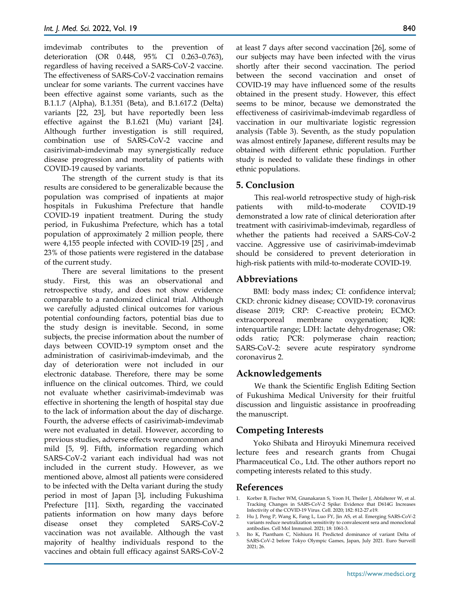imdevimab contributes to the prevention of deterioration (OR 0.448, 95% CI 0.263–0.763), regardless of having received a SARS-CoV-2 vaccine. The effectiveness of SARS-CoV-2 vaccination remains unclear for some variants. The current vaccines have been effective against some variants, such as the B.1.1.7 (Alpha), B.1.351 (Beta), and B.1.617.2 (Delta) variants [22, 23], but have reportedly been less effective against the B.1.621 (Mu) variant [24]. Although further investigation is still required, combination use of SARS-CoV-2 vaccine and casirivimab-imdevimab may synergistically reduce disease progression and mortality of patients with COVID-19 caused by variants.

The strength of the current study is that its results are considered to be generalizable because the population was comprised of inpatients at major hospitals in Fukushima Prefecture that handle COVID-19 inpatient treatment. During the study period, in Fukushima Prefecture, which has a total population of approximately 2 million people, there were 4,155 people infected with COVID-19 [25] , and 23% of those patients were registered in the database of the current study.

There are several limitations to the present study. First, this was an observational and retrospective study, and does not show evidence comparable to a randomized clinical trial. Although we carefully adjusted clinical outcomes for various potential confounding factors, potential bias due to the study design is inevitable. Second, in some subjects, the precise information about the number of days between COVID-19 symptom onset and the administration of casirivimab-imdevimab, and the day of deterioration were not included in our electronic database. Therefore, there may be some influence on the clinical outcomes. Third, we could not evaluate whether casirivimab-imdevimab was effective in shortening the length of hospital stay due to the lack of information about the day of discharge. Fourth, the adverse effects of casirivimab-imdevimab were not evaluated in detail. However, according to previous studies, adverse effects were uncommon and mild [5, 9]. Fifth, information regarding which SARS-CoV-2 variant each individual had was not included in the current study. However, as we mentioned above, almost all patients were considered to be infected with the Delta variant during the study period in most of Japan [3], including Fukushima Prefecture [11]. Sixth, regarding the vaccinated patients information on how many days before disease onset they completed SARS-CoV-2 vaccination was not available. Although the vast majority of healthy individuals respond to the vaccines and obtain full efficacy against SARS-CoV-2

at least 7 days after second vaccination [26], some of our subjects may have been infected with the virus shortly after their second vaccination. The period between the second vaccination and onset of COVID-19 may have influenced some of the results obtained in the present study. However, this effect seems to be minor, because we demonstrated the effectiveness of casirivimab-imdevimab regardless of vaccination in our multivariate logistic regression analysis (Table 3). Seventh, as the study population was almost entirely Japanese, different results may be obtained with different ethnic population. Further study is needed to validate these findings in other ethnic populations.

## **5. Conclusion**

This real-world retrospective study of high-risk patients with mild-to-moderate COVID-19 demonstrated a low rate of clinical deterioration after treatment with casirivimab-imdevimab, regardless of whether the patients had received a SARS-CoV-2 vaccine. Aggressive use of casirivimab-imdevimab should be considered to prevent deterioration in high-risk patients with mild-to-moderate COVID-19.

## **Abbreviations**

BMI: body mass index; CI: confidence interval; CKD: chronic kidney disease; COVID-19: coronavirus disease 2019; CRP: C-reactive protein; ECMO: extracorporeal membrane oxygenation; IQR: interquartile range; LDH: lactate dehydrogenase; OR: odds ratio; PCR: polymerase chain reaction; SARS-CoV-2: severe acute respiratory syndrome coronavirus 2.

## **Acknowledgements**

We thank the Scientific English Editing Section of Fukushima Medical University for their fruitful discussion and linguistic assistance in proofreading the manuscript.

## **Competing Interests**

Yoko Shibata and Hiroyuki Minemura received lecture fees and research grants from Chugai Pharmaceutical Co., Ltd. The other authors report no competing interests related to this study.

## **References**

- 1. Korber B, Fischer WM, Gnanakaran S, Yoon H, Theiler J, Abfalterer W, et al. Tracking Changes in SARS-CoV-2 Spike: Evidence that D614G Increases Infectivity of the COVID-19 Virus. Cell. 2020; 182: 812-27.e19.
- 2. Hu J, Peng P, Wang K, Fang L, Luo FY, Jin AS, et al. Emerging SARS-CoV-2 variants reduce neutralization sensitivity to convalescent sera and monoclonal antibodies. Cell Mol Immunol. 2021; 18: 1061-3.
- 3. Ito K, Piantham C, Nishiura H. Predicted dominance of variant Delta of SARS-CoV-2 before Tokyo Olympic Games, Japan, July 2021. Euro Surveill 2021; 26.